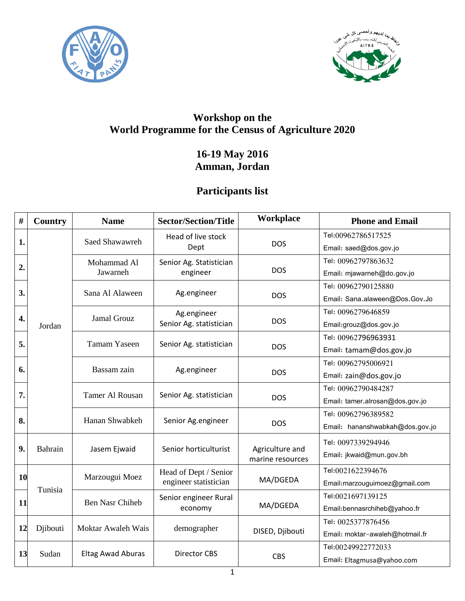



## **Workshop on the World Programme for the Census of Agriculture 2020**

## **16-19 May 2016 Amman, Jordan**

## **Participants list**

| #         | Country  | <b>Name</b>              | <b>Sector/Section/Title</b>                    | Workplace                           | <b>Phone and Email</b>          |
|-----------|----------|--------------------------|------------------------------------------------|-------------------------------------|---------------------------------|
|           | Jordan   | Saed Shawawreh           | Head of live stock<br>Dept                     | <b>DOS</b>                          | Tel:00962786517525              |
| 1.        |          |                          |                                                |                                     | Email: saed@dos.gov.jo          |
| 2.        |          | Mohammad Al<br>Jawarneh  | Senior Ag. Statistician<br>engineer            | <b>DOS</b>                          | Tel: 00962797863632             |
|           |          |                          |                                                |                                     | Email: mjawarneh@do.gov.jo      |
| 3.        |          | Sana Al Alaween          | Ag.engineer                                    | <b>DOS</b>                          | Tel: 00962790125880             |
|           |          |                          |                                                |                                     | Email: Sana.alaween@Dos.Gov.Jo  |
| 4.        |          | Jamal Grouz              | Ag.engineer<br>Senior Ag. statistician         | <b>DOS</b>                          | Tel: 0096279646859              |
|           |          |                          |                                                |                                     | Email:grouz@dos.gov.jo          |
| 5.        |          | <b>Tamam Yaseen</b>      | Senior Ag. statistician                        | <b>DOS</b>                          | Tel: 00962796963931             |
|           |          |                          |                                                |                                     | Email: tamam@dos.gov.jo         |
| 6.        |          | Bassam zain              | Ag.engineer                                    | <b>DOS</b>                          | Tel: 00962795006921             |
|           |          |                          |                                                |                                     | Email: zain@dos.gov.jo          |
| 7.        |          | Tamer Al Rousan          | Senior Ag. statistician                        | <b>DOS</b>                          | Tel: 00962790484287             |
|           |          |                          |                                                |                                     | Email: tamer.alrosan@dos.gov.jo |
| 8.        |          | Hanan Shwabkeh           | Senior Ag.engineer                             | <b>DOS</b>                          | Tel: 00962796389582             |
|           |          |                          |                                                |                                     | Email: hananshwabkah@dos.gov.jo |
|           | Bahrain  | Jasem Ejwaid             | Senior horticulturist                          | Agriculture and<br>marine resources | Tel: 0097339294946              |
| 9.        |          |                          |                                                |                                     | Email: jkwaid@mun.gov.bh        |
| <b>10</b> | Tunisia  | Marzougui Moez           | Head of Dept / Senior<br>engineer statistician | MA/DGEDA                            | Tel:0021622394676               |
|           |          |                          |                                                |                                     | Email:marzouguimoez@gmail.com   |
| 11        |          | <b>Ben Nasr Chiheb</b>   | Senior engineer Rural<br>economy               | MA/DGEDA                            | Tel:0021697139125               |
|           |          |                          |                                                |                                     | Email:bennasrchiheb@yahoo.fr    |
| 12        | Djibouti | Moktar Awaleh Wais       | demographer                                    | DISED, Djibouti                     | Tel: 0025377876456              |
|           |          |                          |                                                |                                     | Email: moktar-awaleh@hotmail.fr |
|           |          | <b>Eltag Awad Aburas</b> | <b>Director CBS</b>                            | CBS                                 | Tel:00249922772033              |
| 13        | Sudan    |                          |                                                |                                     | Email: Eltagmusa@yahoo.com      |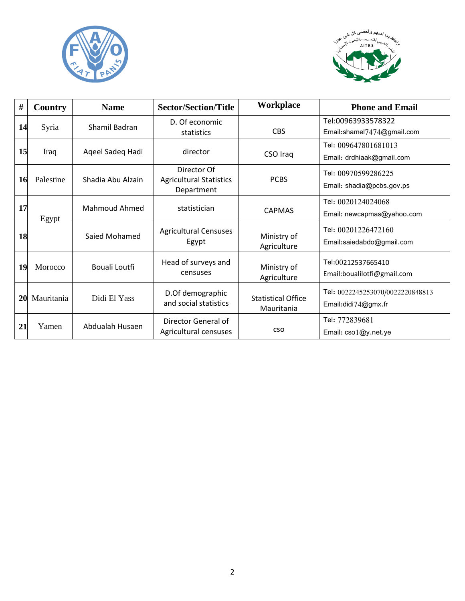



| #  | Country    | <b>Name</b>          | <b>Sector/Section/Title</b>                                 | Workplace                               | <b>Phone and Email</b>                                  |
|----|------------|----------------------|-------------------------------------------------------------|-----------------------------------------|---------------------------------------------------------|
| 14 | Syria      | Shamil Badran        | D. Of economic<br>statistics                                | <b>CBS</b>                              | Tel:00963933578322<br>Email:shamel7474@gmail.com        |
| 15 | Iraq       | Ageel Sadeg Hadi     | director                                                    | CSO Iraq                                | Tel: 009647801681013<br>Email: drdhiaak@gmail.com       |
| 16 | Palestine  | Shadia Abu Alzain    | Director Of<br><b>Agricultural Statistics</b><br>Department | <b>PCBS</b>                             | Tel: 00970599286225<br>Email: shadia@pcbs.gov.ps        |
| 17 | Egypt      | <b>Mahmoud Ahmed</b> | statistician                                                | <b>CAPMAS</b>                           | Tel: 0020124024068<br>Email: newcapmas@yahoo.com        |
| 18 |            | Saied Mohamed        | <b>Agricultural Censuses</b><br>Egypt                       | Ministry of<br>Agriculture              | Tel: 00201226472160<br>Email:saiedabdo@gmail.com        |
| 19 | Morocco    | Bouali Loutfi        | Head of surveys and<br>censuses                             | Ministry of<br>Agriculture              | Tel:00212537665410<br>Email:boualilotfi@gmail.com       |
| 20 | Mauritania | Didi El Yass         | D.Of demographic<br>and social statistics                   | <b>Statistical Office</b><br>Mauritania | Tel: 0022245253070/0022220848813<br>Email:didi74@gmx.fr |
| 21 | Yamen      | Abdualah Husaen      | Director General of<br>Agricultural censuses                | CSO                                     | Tel: 772839681<br>Email: cso1@y.net.ye                  |